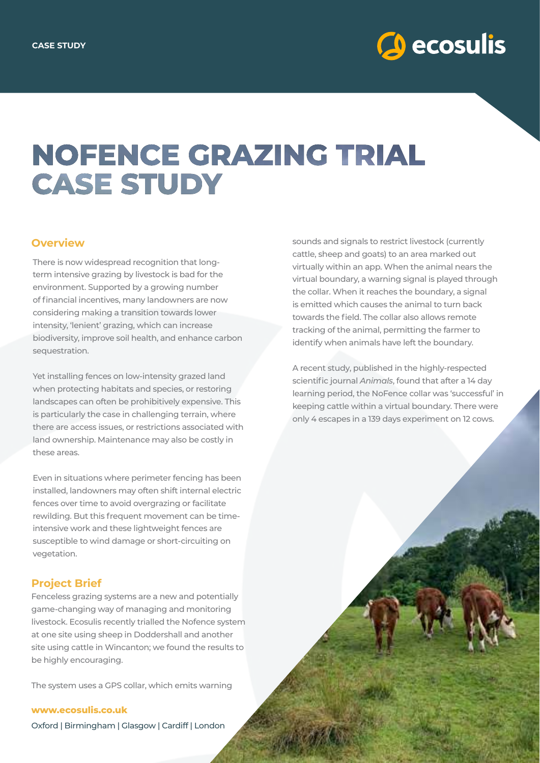

# **NOFENCE GRAZING TRIAL CASE STUDY**

### **Overview**

There is now widespread recognition that longterm intensive grazing by livestock is bad for the environment. Supported by a growing number of financial incentives, many landowners are now considering making a transition towards lower intensity, 'lenient' grazing, which can increase biodiversity, improve soil health, and enhance carbon sequestration.

Yet installing fences on low-intensity grazed land when protecting habitats and species, or restoring landscapes can often be prohibitively expensive. This is particularly the case in challenging terrain, where there are access issues, or restrictions associated with land ownership. Maintenance may also be costly in these areas.

Even in situations where perimeter fencing has been installed, landowners may often shift internal electric fences over time to avoid overgrazing or facilitate rewilding. But this frequent movement can be timeintensive work and these lightweight fences are susceptible to wind damage or short-circuiting on vegetation.

#### **Project Brief**

Fenceless grazing systems are a new and potentially game-changing way of managing and monitoring livestock. Ecosulis recently trialled the Nofence system at one site using sheep in Doddershall and another site using cattle in Wincanton; we found the results to be highly encouraging.

The system uses a GPS collar, which emits warning

**www.ecosulis.co.uk**

Oxford | Birmingham | Glasgow | Cardiff | London

sounds and signals to restrict livestock (currently cattle, sheep and goats) to an area marked out virtually within an app. When the animal nears the virtual boundary, a warning signal is played through the collar. When it reaches the boundary, a signal is emitted which causes the animal to turn back towards the field. The collar also allows remote tracking of the animal, permitting the farmer to identify when animals have left the boundary.

A recent study, published in the highly-respected scientific journal *Animals*, found that after a 14 day learning period, the NoFence collar was 'successful' in keeping cattle within a virtual boundary. There were only 4 escapes in a 139 days experiment on 12 cows.